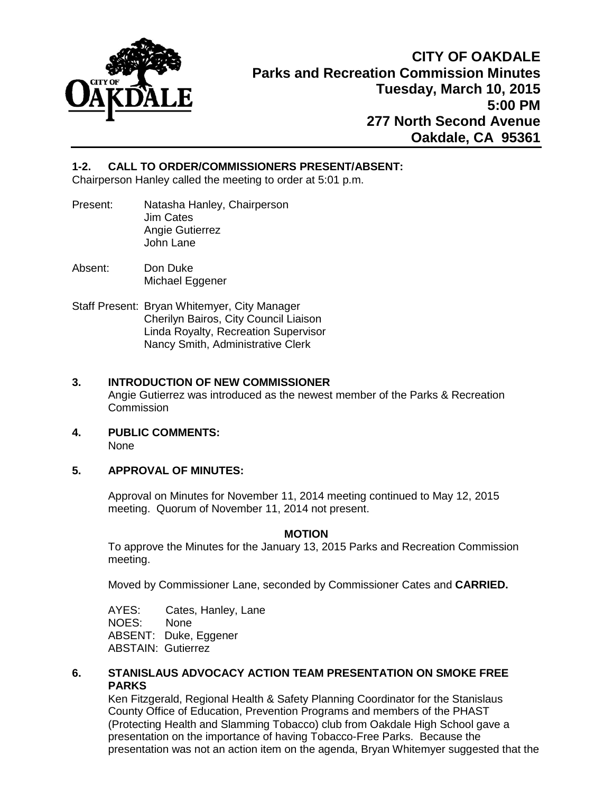

# **1-2. CALL TO ORDER/COMMISSIONERS PRESENT/ABSENT:**

Chairperson Hanley called the meeting to order at 5:01 p.m.

- Present: Natasha Hanley, Chairperson Jim Cates Angie Gutierrez John Lane
- Absent: Don Duke Michael Eggener
- Staff Present: Bryan Whitemyer, City Manager Cherilyn Bairos, City Council Liaison Linda Royalty, Recreation Supervisor Nancy Smith, Administrative Clerk

# **3. INTRODUCTION OF NEW COMMISSIONER**

Angie Gutierrez was introduced as the newest member of the Parks & Recreation **Commission** 

**4. PUBLIC COMMENTS:**

None

# **5. APPROVAL OF MINUTES:**

Approval on Minutes for November 11, 2014 meeting continued to May 12, 2015 meeting. Quorum of November 11, 2014 not present.

# **MOTION**

To approve the Minutes for the January 13, 2015 Parks and Recreation Commission meeting.

Moved by Commissioner Lane, seconded by Commissioner Cates and **CARRIED.** 

AYES: Cates, Hanley, Lane<br>NOES: None NOES: ABSENT: Duke, Eggener ABSTAIN: Gutierrez

# **6. STANISLAUS ADVOCACY ACTION TEAM PRESENTATION ON SMOKE FREE PARKS**

Ken Fitzgerald, Regional Health & Safety Planning Coordinator for the Stanislaus County Office of Education, Prevention Programs and members of the PHAST (Protecting Health and Slamming Tobacco) club from Oakdale High School gave a presentation on the importance of having Tobacco-Free Parks. Because the presentation was not an action item on the agenda, Bryan Whitemyer suggested that the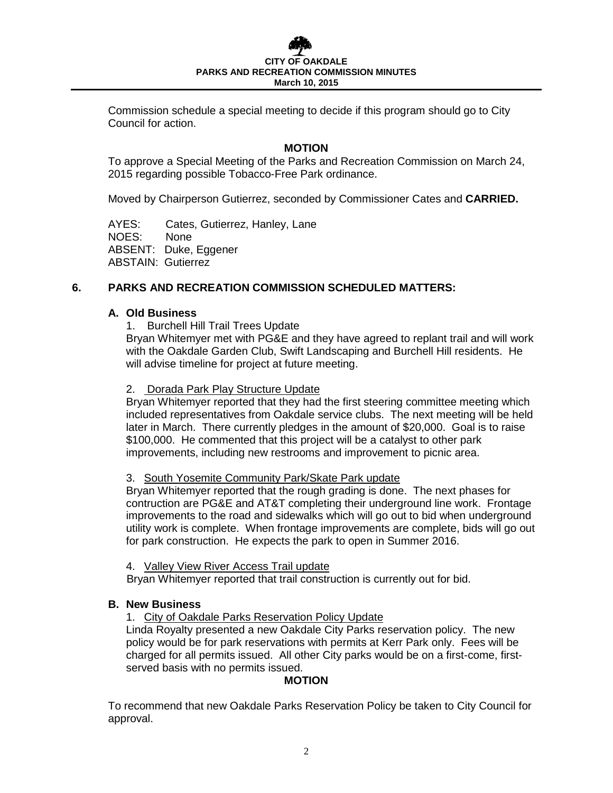Commission schedule a special meeting to decide if this program should go to City Council for action.

# **MOTION**

To approve a Special Meeting of the Parks and Recreation Commission on March 24, 2015 regarding possible Tobacco-Free Park ordinance.

Moved by Chairperson Gutierrez, seconded by Commissioner Cates and **CARRIED.** 

AYES: Cates, Gutierrez, Hanley, Lane NOES: None ABSENT: Duke, Eggener ABSTAIN: Gutierrez

# **6. PARKS AND RECREATION COMMISSION SCHEDULED MATTERS:**

#### **A. Old Business**

1. Burchell Hill Trail Trees Update

Bryan Whitemyer met with PG&E and they have agreed to replant trail and will work with the Oakdale Garden Club, Swift Landscaping and Burchell Hill residents. He will advise timeline for project at future meeting.

#### 2. Dorada Park Play Structure Update

Bryan Whitemyer reported that they had the first steering committee meeting which included representatives from Oakdale service clubs. The next meeting will be held later in March. There currently pledges in the amount of \$20,000. Goal is to raise \$100,000. He commented that this project will be a catalyst to other park improvements, including new restrooms and improvement to picnic area.

#### 3. South Yosemite Community Park/Skate Park update

Bryan Whitemyer reported that the rough grading is done. The next phases for contruction are PG&E and AT&T completing their underground line work. Frontage improvements to the road and sidewalks which will go out to bid when underground utility work is complete. When frontage improvements are complete, bids will go out for park construction. He expects the park to open in Summer 2016.

4. Valley View River Access Trail update

Bryan Whitemyer reported that trail construction is currently out for bid.

# **B. New Business**

1. City of Oakdale Parks Reservation Policy Update

Linda Royalty presented a new Oakdale City Parks reservation policy. The new policy would be for park reservations with permits at Kerr Park only. Fees will be charged for all permits issued. All other City parks would be on a first-come, firstserved basis with no permits issued.

# **MOTION**

To recommend that new Oakdale Parks Reservation Policy be taken to City Council for approval.